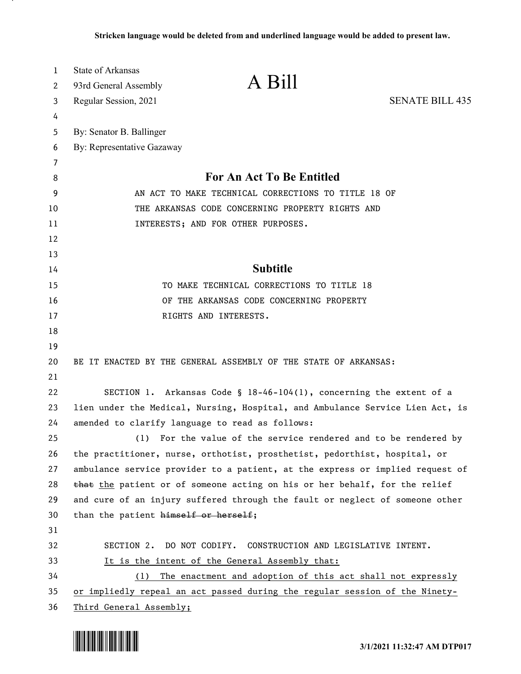| 1        | State of Arkansas                                                             |  |
|----------|-------------------------------------------------------------------------------|--|
| 2        | A Bill<br>93rd General Assembly                                               |  |
| 3        | <b>SENATE BILL 435</b><br>Regular Session, 2021                               |  |
| 4        |                                                                               |  |
| 5        | By: Senator B. Ballinger                                                      |  |
| 6        | By: Representative Gazaway                                                    |  |
| 7        |                                                                               |  |
| 8        | For An Act To Be Entitled                                                     |  |
| 9        | AN ACT TO MAKE TECHNICAL CORRECTIONS TO TITLE 18 OF                           |  |
| 10       | THE ARKANSAS CODE CONCERNING PROPERTY RIGHTS AND                              |  |
| 11       | INTERESTS; AND FOR OTHER PURPOSES.                                            |  |
| 12<br>13 |                                                                               |  |
| 14       | <b>Subtitle</b>                                                               |  |
| 15       | TO MAKE TECHNICAL CORRECTIONS TO TITLE 18                                     |  |
| 16       | OF THE ARKANSAS CODE CONCERNING PROPERTY                                      |  |
| 17       | RIGHTS AND INTERESTS.                                                         |  |
| 18       |                                                                               |  |
| 19       |                                                                               |  |
| 20       | BE IT ENACTED BY THE GENERAL ASSEMBLY OF THE STATE OF ARKANSAS:               |  |
| 21       |                                                                               |  |
| 22       | SECTION 1. Arkansas Code § $18-46-104(1)$ , concerning the extent of a        |  |
| 23       | lien under the Medical, Nursing, Hospital, and Ambulance Service Lien Act, is |  |
| 24       | amended to clarify language to read as follows:                               |  |
| 25       | For the value of the service rendered and to be rendered by<br>(1)            |  |
| 26       | the practitioner, nurse, orthotist, prosthetist, pedorthist, hospital, or     |  |
| 27       | ambulance service provider to a patient, at the express or implied request of |  |
| 28       | that the patient or of someone acting on his or her behalf, for the relief    |  |
| 29       | and cure of an injury suffered through the fault or neglect of someone other  |  |
| 30       | than the patient himself or herself;                                          |  |
| 31       |                                                                               |  |
| 32       | SECTION 2. DO NOT CODIFY. CONSTRUCTION AND LEGISLATIVE INTENT.                |  |
| 33       | It is the intent of the General Assembly that:                                |  |
| 34       | (1) The enactment and adoption of this act shall not expressly                |  |
| 35       | or impliedly repeal an act passed during the regular session of the Ninety-   |  |
| 36       | Third General Assembly;                                                       |  |